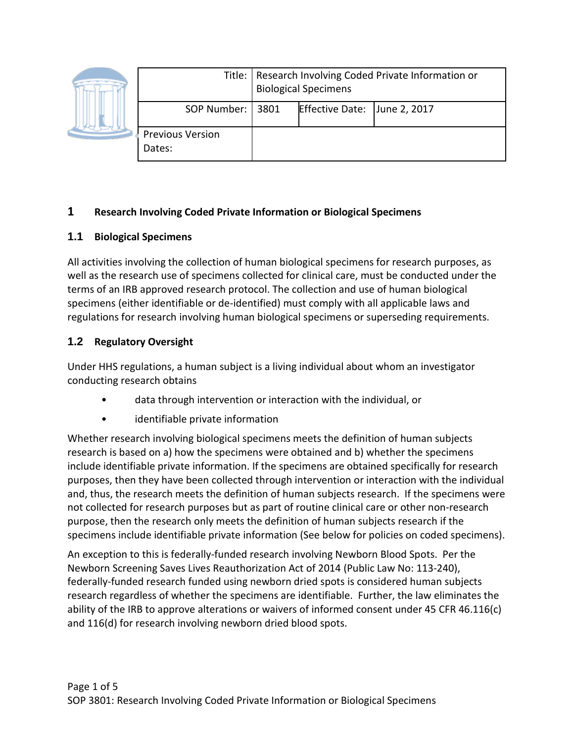|  |                                   | Title:   Research Involving Coded Private Information or<br><b>Biological Specimens</b> |                              |  |
|--|-----------------------------------|-----------------------------------------------------------------------------------------|------------------------------|--|
|  | SOP Number:   3801                |                                                                                         | Effective Date: June 2, 2017 |  |
|  | <b>Previous Version</b><br>Dates: |                                                                                         |                              |  |

## **1 Research Involving Coded Private Information or Biological Specimens**

## **1.1 Biological Specimens**

All activities involving the collection of human biological specimens for research purposes, as well as the research use of specimens collected for clinical care, must be conducted under the terms of an IRB approved research protocol. The collection and use of human biological specimens (either identifiable or de-identified) must comply with all applicable laws and regulations for research involving human biological specimens or superseding requirements.

# **1.2 Regulatory Oversight**

Under HHS regulations, a human subject is a living individual about whom an investigator conducting research obtains

- data through intervention or interaction with the individual, or
- identifiable private information

Whether research involving biological specimens meets the definition of human subjects research is based on a) how the specimens were obtained and b) whether the specimens include identifiable private information. If the specimens are obtained specifically for research purposes, then they have been collected through intervention or interaction with the individual and, thus, the research meets the definition of human subjects research. If the specimens were not collected for research purposes but as part of routine clinical care or other non-research purpose, then the research only meets the definition of human subjects research if the specimens include identifiable private information (See below for policies on coded specimens).

An exception to this is federally-funded research involving Newborn Blood Spots. Per the Newborn Screening Saves Lives Reauthorization Act of 2014 (Public Law No: 113-240), federally-funded research funded using newborn dried spots is considered human subjects research regardless of whether the specimens are identifiable. Further, the law eliminates the ability of the IRB to approve alterations or waivers of informed consent under 45 CFR 46.116(c) and 116(d) for research involving newborn dried blood spots.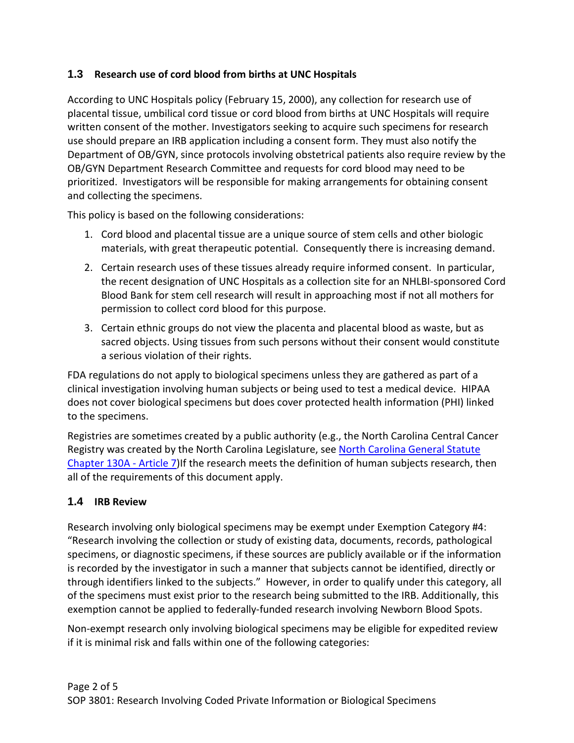### **1.3 Research use of cord blood from births at UNC Hospitals**

According to UNC Hospitals policy (February 15, 2000), any collection for research use of placental tissue, umbilical cord tissue or cord blood from births at UNC Hospitals will require written consent of the mother. Investigators seeking to acquire such specimens for research use should prepare an IRB application including a consent form. They must also notify the Department of OB/GYN, since protocols involving obstetrical patients also require review by the OB/GYN Department Research Committee and requests for cord blood may need to be prioritized. Investigators will be responsible for making arrangements for obtaining consent and collecting the specimens.

This policy is based on the following considerations:

- 1. Cord blood and placental tissue are a unique source of stem cells and other biologic materials, with great therapeutic potential. Consequently there is increasing demand.
- 2. Certain research uses of these tissues already require informed consent. In particular, the recent designation of UNC Hospitals as a collection site for an NHLBI-sponsored Cord Blood Bank for stem cell research will result in approaching most if not all mothers for permission to collect cord blood for this purpose.
- 3. Certain ethnic groups do not view the placenta and placental blood as waste, but as sacred objects. Using tissues from such persons without their consent would constitute a serious violation of their rights.

FDA regulations do not apply to biological specimens unless they are gathered as part of a clinical investigation involving human subjects or being used to test a medical device. HIPAA does not cover biological specimens but does cover protected health information (PHI) linked to the specimens.

Registries are sometimes created by a public authority (e.g., the North Carolina Central Cancer Registry was created by the North Carolina Legislature, see [North Carolina General Statute](http://www.schs.state.nc.us/SCHS/CCR/Article_7.html)  [Chapter 130A -](http://www.schs.state.nc.us/SCHS/CCR/Article_7.html) Article 7) If the research meets the definition of human subjects research, then all of the requirements of this document apply.

#### **1.4 IRB Review**

Research involving only biological specimens may be exempt under Exemption Category #4: "Research involving the collection or study of existing data, documents, records, pathological specimens, or diagnostic specimens, if these sources are publicly available or if the information is recorded by the investigator in such a manner that subjects cannot be identified, directly or through identifiers linked to the subjects." However, in order to qualify under this category, all of the specimens must exist prior to the research being submitted to the IRB. Additionally, this exemption cannot be applied to federally-funded research involving Newborn Blood Spots.

Non-exempt research only involving biological specimens may be eligible for expedited review if it is minimal risk and falls within one of the following categories: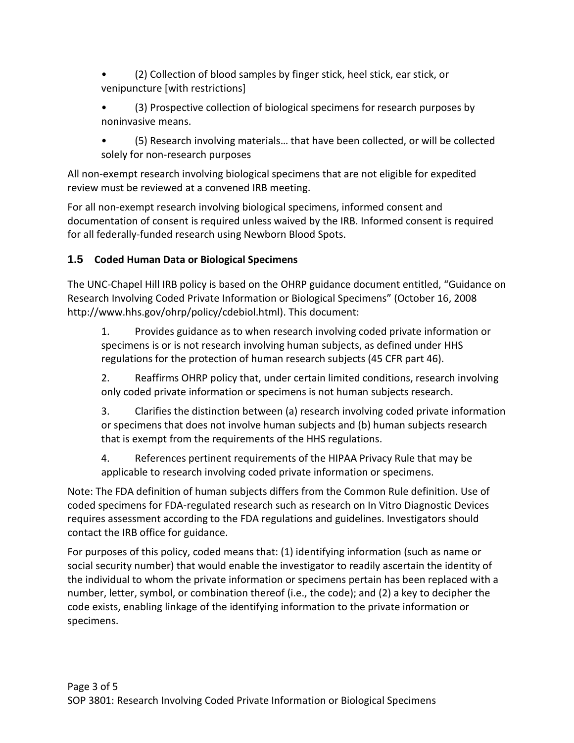- (2) Collection of blood samples by finger stick, heel stick, ear stick, or venipuncture [with restrictions]
- (3) Prospective collection of biological specimens for research purposes by noninvasive means.
- (5) Research involving materials… that have been collected, or will be collected solely for non-research purposes

All non-exempt research involving biological specimens that are not eligible for expedited review must be reviewed at a convened IRB meeting.

For all non-exempt research involving biological specimens, informed consent and documentation of consent is required unless waived by the IRB. Informed consent is required for all federally-funded research using Newborn Blood Spots.

## **1.5 Coded Human Data or Biological Specimens**

The UNC-Chapel Hill IRB policy is based on the OHRP guidance document entitled, "Guidance on Research Involving Coded Private Information or Biological Specimens" (October 16, 2008 http://www.hhs.gov/ohrp/policy/cdebiol.html). This document:

1. Provides guidance as to when research involving coded private information or specimens is or is not research involving human subjects, as defined under HHS regulations for the protection of human research subjects (45 CFR part 46).

2. Reaffirms OHRP policy that, under certain limited conditions, research involving only coded private information or specimens is not human subjects research.

3. Clarifies the distinction between (a) research involving coded private information or specimens that does not involve human subjects and (b) human subjects research that is exempt from the requirements of the HHS regulations.

4. References pertinent requirements of the HIPAA Privacy Rule that may be applicable to research involving coded private information or specimens.

Note: The FDA definition of human subjects differs from the Common Rule definition. Use of coded specimens for FDA‐regulated research such as research on In Vitro Diagnostic Devices requires assessment according to the FDA regulations and guidelines. Investigators should contact the IRB office for guidance.

For purposes of this policy, coded means that: (1) identifying information (such as name or social security number) that would enable the investigator to readily ascertain the identity of the individual to whom the private information or specimens pertain has been replaced with a number, letter, symbol, or combination thereof (i.e., the code); and (2) a key to decipher the code exists, enabling linkage of the identifying information to the private information or specimens.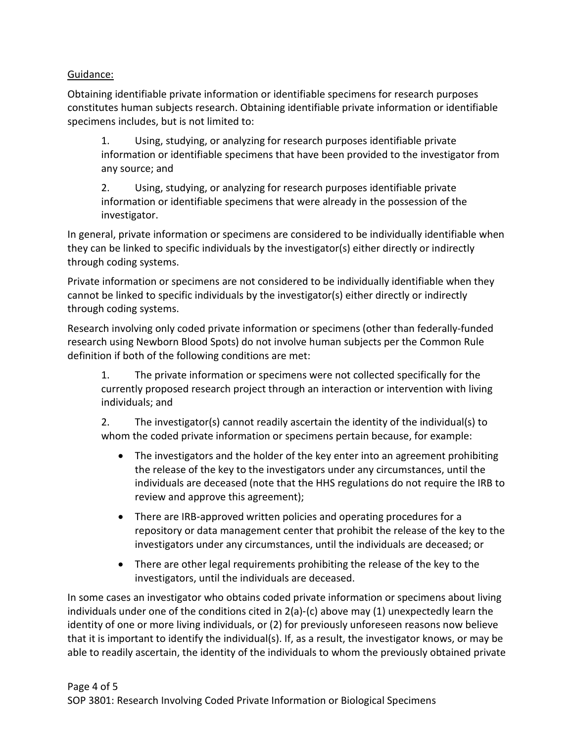### Guidance:

Obtaining identifiable private information or identifiable specimens for research purposes constitutes human subjects research. Obtaining identifiable private information or identifiable specimens includes, but is not limited to:

1. Using, studying, or analyzing for research purposes identifiable private information or identifiable specimens that have been provided to the investigator from any source; and

2. Using, studying, or analyzing for research purposes identifiable private information or identifiable specimens that were already in the possession of the investigator.

In general, private information or specimens are considered to be individually identifiable when they can be linked to specific individuals by the investigator(s) either directly or indirectly through coding systems.

Private information or specimens are not considered to be individually identifiable when they cannot be linked to specific individuals by the investigator(s) either directly or indirectly through coding systems.

Research involving only coded private information or specimens (other than federally-funded research using Newborn Blood Spots) do not involve human subjects per the Common Rule definition if both of the following conditions are met:

1. The private information or specimens were not collected specifically for the currently proposed research project through an interaction or intervention with living individuals; and

2. The investigator(s) cannot readily ascertain the identity of the individual(s) to whom the coded private information or specimens pertain because, for example:

- The investigators and the holder of the key enter into an agreement prohibiting the release of the key to the investigators under any circumstances, until the individuals are deceased (note that the HHS regulations do not require the IRB to review and approve this agreement);
- There are IRB‐approved written policies and operating procedures for a repository or data management center that prohibit the release of the key to the investigators under any circumstances, until the individuals are deceased; or
- There are other legal requirements prohibiting the release of the key to the investigators, until the individuals are deceased.

In some cases an investigator who obtains coded private information or specimens about living individuals under one of the conditions cited in 2(a)‐(c) above may (1) unexpectedly learn the identity of one or more living individuals, or (2) for previously unforeseen reasons now believe that it is important to identify the individual(s). If, as a result, the investigator knows, or may be able to readily ascertain, the identity of the individuals to whom the previously obtained private